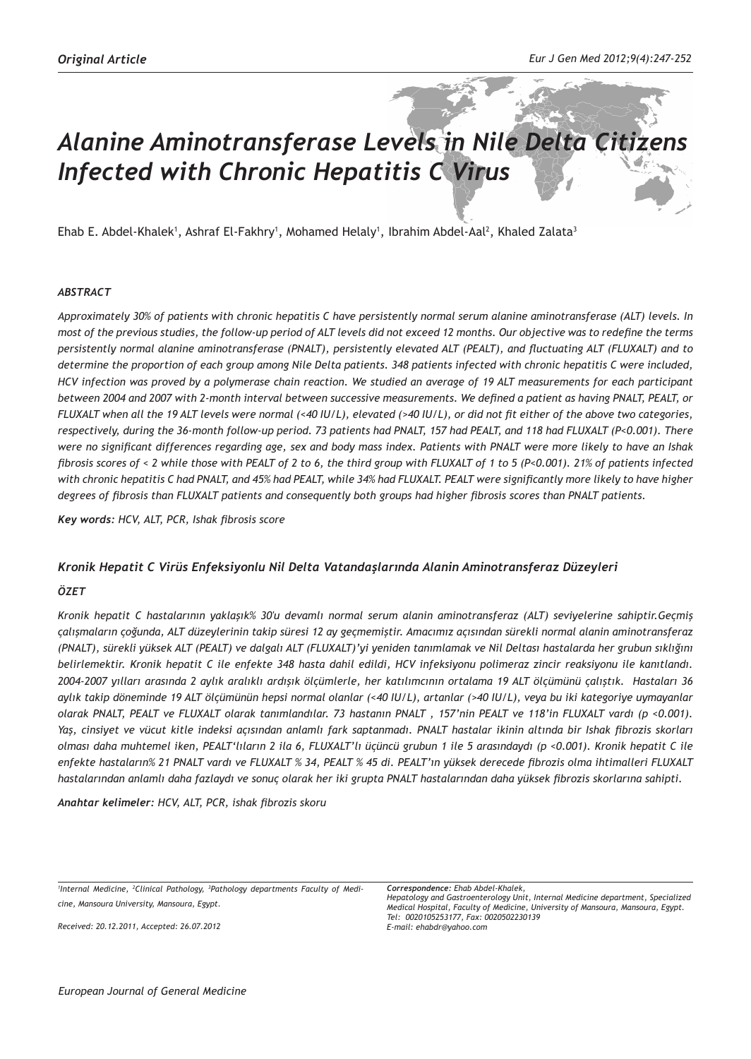# *Alanine Aminotransferase Levels in Nile Delta Citizens Infected with Chronic Hepatitis C Virus*

Ehab E. Abdel-Khalek', Ashraf El-Fakhry', Mohamed Helaly', Ibrahim Abdel-Aal<sup>2</sup>, Khaled Zalata<sup>3</sup>

#### *ABSTRACT*

*Approximately 30% of patients with chronic hepatitis C have persistently normal serum alanine aminotransferase (ALT) levels. In most of the previous studies, the follow-up period of ALT levels did not exceed 12 months. Our objective was to redefine the terms persistently normal alanine aminotransferase (PNALT), persistently elevated ALT (PEALT), and fluctuating ALT (FLUXALT) and to determine the proportion of each group among Nile Delta patients. 348 patients infected with chronic hepatitis C were included, HCV infection was proved by a polymerase chain reaction. We studied an average of 19 ALT measurements for each participant between 2004 and 2007 with 2-month interval between successive measurements. We defined a patient as having PNALT, PEALT, or FLUXALT when all the 19 ALT levels were normal (<40 IU/L), elevated (>40 IU/L), or did not fit either of the above two categories, respectively, during the 36-month follow-up period. 73 patients had PNALT, 157 had PEALT, and 118 had FLUXALT (P<0.001). There were no significant differences regarding age, sex and body mass index. Patients with PNALT were more likely to have an Ishak fibrosis scores of < 2 while those with PEALT of 2 to 6, the third group with FLUXALT of 1 to 5 (P<0.001). 21% of patients infected with chronic hepatitis C had PNALT, and 45% had PEALT, while 34% had FLUXALT. PEALT were significantly more likely to have higher degrees of fibrosis than FLUXALT patients and consequently both groups had higher fibrosis scores than PNALT patients.* 

*Key words: HCV, ALT, PCR, Ishak fibrosis score*

#### *Kronik Hepatit C Virüs Enfeksiyonlu Nil Delta Vatandaşlarında Alanin Aminotransferaz Düzeyleri*

#### *ÖZET*

*Kronik hepatit C hastalarının yaklaşık% 30'u devamlı normal serum alanin aminotransferaz (ALT) seviyelerine sahiptir.Geçmiş çalışmaların çoğunda, ALT düzeylerinin takip süresi 12 ay geçmemiştir. Amacımız açısından sürekli normal alanin aminotransferaz (PNALT), sürekli yüksek ALT (PEALT) ve dalgalı ALT (FLUXALT)'yi yeniden tanımlamak ve Nil Deltası hastalarda her grubun sıklığını belirlemektir. Kronik hepatit C ile enfekte 348 hasta dahil edildi, HCV infeksiyonu polimeraz zincir reaksiyonu ile kanıtlandı. 2004-2007 yılları arasında 2 aylık aralıklı ardışık ölçümlerle, her katılımcının ortalama 19 ALT ölçümünü çalıştık. Hastaları 36 aylık takip döneminde 19 ALT ölçümünün hepsi normal olanlar (<40 IU/L), artanlar (>40 IU/L), veya bu iki kategoriye uymayanlar olarak PNALT, PEALT ve FLUXALT olarak tanımlandılar. 73 hastanın PNALT , 157'nin PEALT ve 118'in FLUXALT vardı (p <0.001). Yaş, cinsiyet ve vücut kitle indeksi açısından anlamlı fark saptanmadı. PNALT hastalar ikinin altında bir Ishak fibrozis skorları olması daha muhtemel iken, PEALT'lıların 2 ila 6, FLUXALT'lı üçüncü grubun 1 ile 5 arasındaydı (p <0.001). Kronik hepatit C ile enfekte hastaların% 21 PNALT vardı ve FLUXALT % 34, PEALT % 45 di. PEALT'ın yüksek derecede fibrozis olma ihtimalleri FLUXALT hastalarından anlamlı daha fazlaydı ve sonuç olarak her iki grupta PNALT hastalarından daha yüksek fibrozis skorlarına sahipti.* 

*Anahtar kelimeler: HCV, ALT, PCR, ishak fibrozis skoru*

*1 Internal Medicine, 2 Clinical Pathology, <sup>3</sup> Pathology departments Faculty of Medicine, Mansoura University, Mansoura, Egypt.*

*Received: 20.12.2011, Accepted: 26.07.2012*

*Correspondence: Ehab Abdel-Khalek, Hepatology and Gastroenterology Unit, Internal Medicine department, Specialized Medical Hospital, Faculty of Medicine, University of Mansoura, Mansoura, Egypt. Tel: 0020105253177, Fax: 0020502230139 E-mail: ehabdr@yahoo.com*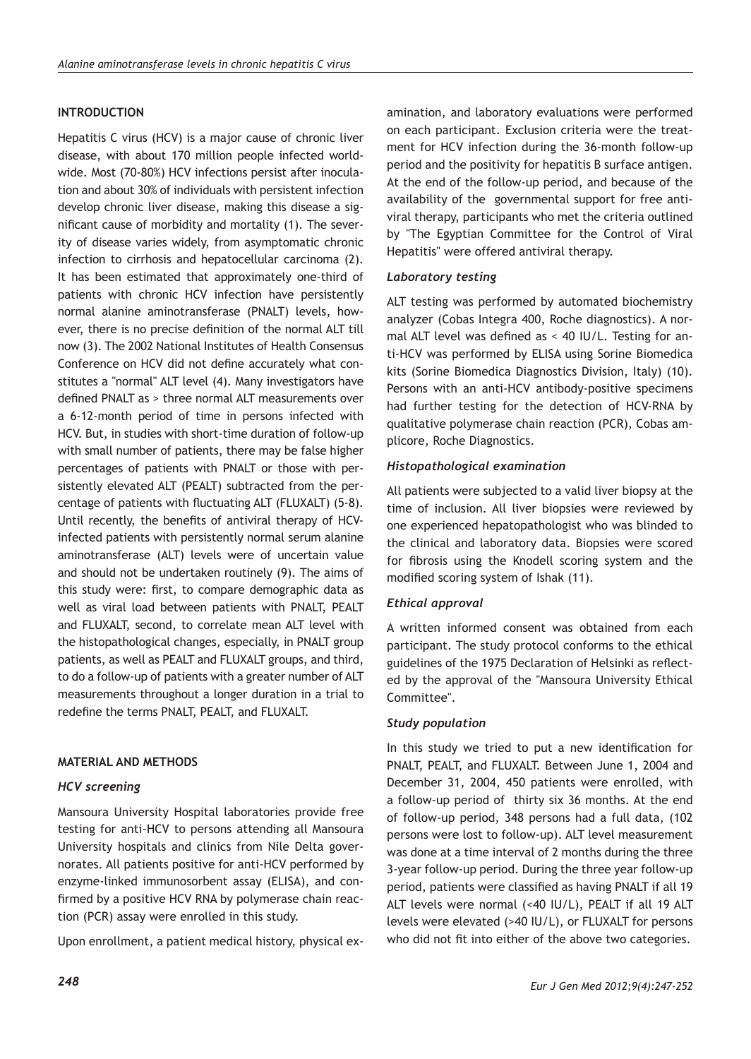# **INTRODUCTION**

Hepatitis C virus (HCV) is a major cause of chronic liver disease, with about 170 million people infected worldwide. Most (70-80%) HCV infections persist after inoculation and about 30% of individuals with persistent infection develop chronic liver disease, making this disease a significant cause of morbidity and mortality (1). The severity of disease varies widely, from asymptomatic chronic infection to cirrhosis and hepatocellular carcinoma (2). It has been estimated that approximately one-third of patients with chronic HCV infection have persistently normal alanine aminotransferase (PNALT) levels, however, there is no precise definition of the normal ALT till now (3). The 2002 National Institutes of Health Consensus Conference on HCV did not define accurately what constitutes a "normal" ALT level (4). Many investigators have defined PNALT as > three normal ALT measurements over a 6-12-month period of time in persons infected with HCV. But, in studies with short-time duration of follow-up with small number of patients, there may be false higher percentages of patients with PNALT or those with persistently elevated ALT (PEALT) subtracted from the percentage of patients with fluctuating ALT (FLUXALT) (5-8). Until recently, the benefits of antiviral therapy of HCVinfected patients with persistently normal serum alanine aminotransferase (ALT) levels were of uncertain value and should not be undertaken routinely (9). The aims of this study were: first, to compare demographic data as well as viral load between patients with PNALT, PEALT and FLUXALT, second, to correlate mean ALT level with the histopathological changes, especially, in PNALT group patients, as well as PEALT and FLUXALT groups, and third, to do a follow-up of patients with a greater number of ALT measurements throughout a longer duration in a trial to redefine the terms PNALT, PEALT, and FLUXALT.

## **MATERIAL AND METHODS**

## *HCV screening*

Mansoura University Hospital laboratories provide free testing for anti-HCV to persons attending all Mansoura University hospitals and clinics from Nile Delta governorates. All patients positive for anti-HCV performed by enzyme-linked immunosorbent assay (ELISA), and confirmed by a positive HCV RNA by polymerase chain reaction (PCR) assay were enrolled in this study.

Upon enrollment, a patient medical history, physical ex-

amination, and laboratory evaluations were performed on each participant. Exclusion criteria were the treatment for HCV infection during the 36-month follow-up period and the positivity for hepatitis B surface antigen. At the end of the follow-up period, and because of the availability of the governmental support for free antiviral therapy, participants who met the criteria outlined by "The Egyptian Committee for the Control of Viral Hepatitis" were offered antiviral therapy.

## *Laboratory testing*

ALT testing was performed by automated biochemistry analyzer (Cobas Integra 400, Roche diagnostics). A normal ALT level was defined as < 40 IU/L. Testing for anti-HCV was performed by ELISA using Sorine Biomedica kits (Sorine Biomedica Diagnostics Division, Italy) (10). Persons with an anti-HCV antibody-positive specimens had further testing for the detection of HCV-RNA by qualitative polymerase chain reaction (PCR), Cobas amplicore, Roche Diagnostics.

## *Histopathological examination*

All patients were subjected to a valid liver biopsy at the time of inclusion. All liver biopsies were reviewed by one experienced hepatopathologist who was blinded to the clinical and laboratory data. Biopsies were scored for fibrosis using the Knodell scoring system and the modified scoring system of Ishak (11).

# *Ethical approval*

A written informed consent was obtained from each participant. The study protocol conforms to the ethical guidelines of the 1975 Declaration of Helsinki as reflected by the approval of the "Mansoura University Ethical Committee".

## *Study population*

In this study we tried to put a new identification for PNALT, PEALT, and FLUXALT. Between June 1, 2004 and December 31, 2004, 450 patients were enrolled, with a follow-up period of thirty six 36 months. At the end of follow-up period, 348 persons had a full data, (102 persons were lost to follow-up). ALT level measurement was done at a time interval of 2 months during the three 3-year follow-up period. During the three year follow-up period, patients were classified as having PNALT if all 19 ALT levels were normal (<40 IU/L), PEALT if all 19 ALT levels were elevated (>40 IU/L), or FLUXALT for persons who did not fit into either of the above two categories.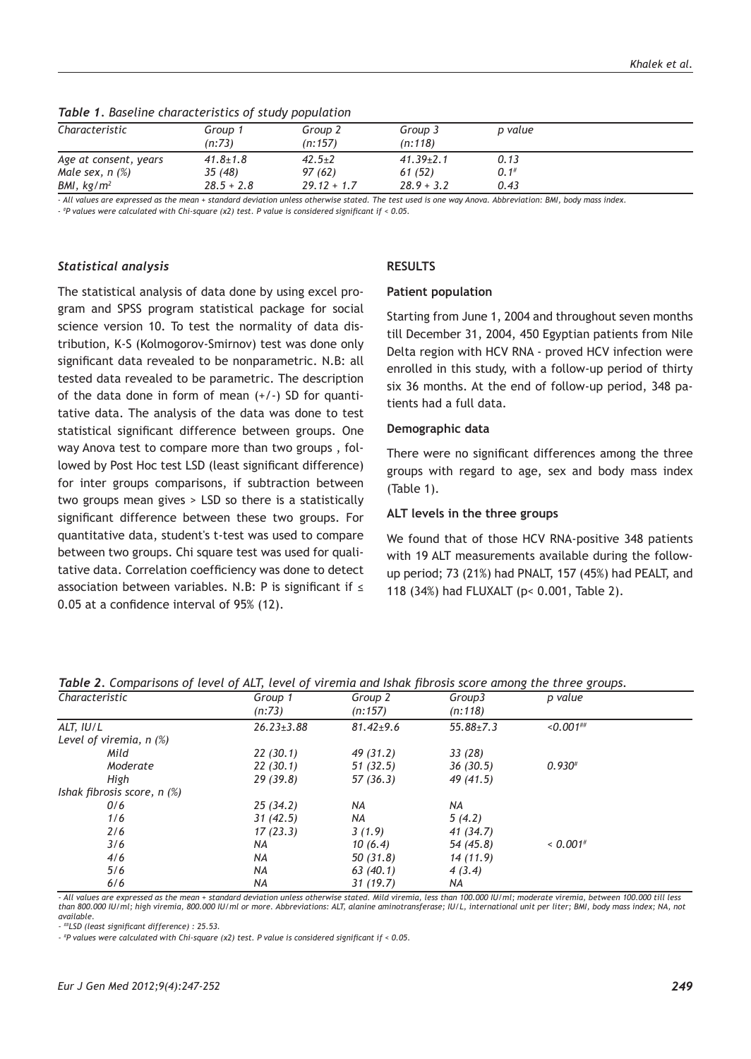| Characteristic                   | Group 1<br>(n:73) | Group 2<br>(n:157) | Group 3<br>(n:118) | p value |
|----------------------------------|-------------------|--------------------|--------------------|---------|
| Age at consent, years            | $41.8 \pm 1.8$    | $42.5 + 2$         | $41.39 \pm 2.1$    | 0.13    |
| Male sex, $n$ $\left(\% \right)$ | 35(48)            | 97 (62)            | 61 (52)            | 0.1#    |
| BMI, $kg/m^2$                    | $28.5 + 2.8$      | $29.12 + 1.7$      | $28.9 + 3.2$       | 0.43    |

*Table 1. Baseline characteristics of study population*

*- All values are expressed as the mean + standard deviation unless otherwise stated. The test used is one way Anova. Abbreviation: BMI, body mass index.*

*- # P values were calculated with Chi-square (x2) test. P value is considered significant if < 0.05.* 

#### *Statistical analysis*

The statistical analysis of data done by using excel program and SPSS program statistical package for social science version 10. To test the normality of data distribution, K-S (Kolmogorov-Smirnov) test was done only significant data revealed to be nonparametric. N.B: all tested data revealed to be parametric. The description of the data done in form of mean  $(+/-)$  SD for quantitative data. The analysis of the data was done to test statistical significant difference between groups. One way Anova test to compare more than two groups , followed by Post Hoc test LSD (least significant difference) for inter groups comparisons, if subtraction between two groups mean gives > LSD so there is a statistically significant difference between these two groups. For quantitative data, student's t-test was used to compare between two groups. Chi square test was used for qualitative data. Correlation coefficiency was done to detect association between variables. N.B: P is significant if  $\leq$ 0.05 at a confidence interval of 95% (12).

### **RESULTS**

#### **Patient population**

Starting from June 1, 2004 and throughout seven months till December 31, 2004, 450 Egyptian patients from Nile Delta region with HCV RNA - proved HCV infection were enrolled in this study, with a follow-up period of thirty six 36 months. At the end of follow-up period, 348 patients had a full data.

#### **Demographic data**

There were no significant differences among the three groups with regard to age, sex and body mass index (Table 1).

#### **ALT levels in the three groups**

We found that of those HCV RNA-positive 348 patients with 19 ALT measurements available during the followup period; 73 (21%) had PNALT, 157 (45%) had PEALT, and 118 (34%) had FLUXALT (p< 0.001, Table 2).

| Characteristic                               | Group 1          | Group 2         | Group3        | p value                |
|----------------------------------------------|------------------|-----------------|---------------|------------------------|
|                                              | (n:73)           | (n:157)         | (n:118)       |                        |
| ALT, IU/L                                    | $26.23 \pm 3.88$ | $81.42 \pm 9.6$ | $55.88 + 7.3$ | $< 0.001$ ##           |
| Level of viremia, $n$ $(\%)$                 |                  |                 |               |                        |
| Mild                                         | 22(30.1)         | 49 (31.2)       | 33 (28)       |                        |
| Moderate                                     | 22(30.1)         | 51(32.5)        | 36(30.5)      | $0.930^{#}$            |
| High                                         | 29(39.8)         | 57 (36.3)       | 49 (41.5)     |                        |
| Ishak fibrosis score, $n$ $\left(\% \right)$ |                  |                 |               |                        |
| 0/6                                          | 25(34.2)         | NA              | NA            |                        |
| 1/6                                          | 31(42.5)         | NA              | 5(4.2)        |                        |
| 2/6                                          | 17(23.3)         | 3(1.9)          | 41 (34.7)     |                        |
| 3/6                                          | NA               | 10(6.4)         | 54 (45.8)     | $< 0.001$ <sup>#</sup> |
| 4/6                                          | NA               | 50 (31.8)       | 14 (11.9)     |                        |
| 5/6                                          | NA               | 63 (40.1)       | 4(3.4)        |                        |
| 6/6                                          | NA               | 31(19.7)        | NA            |                        |

*Table 2. Comparisons of level of ALT, level of viremia and Ishak fibrosis score among the three groups.*

*- All values are expressed as the mean + standard deviation unless otherwise stated. Mild viremia, less than 100.000 IU/ml; moderate viremia, between 100.000 till less than 800.000 IU/ml; high viremia, 800.000 IU/ml or more. Abbreviations: ALT, alanine aminotransferase; IU/L, international unit per liter; BMI, body mass index; NA, not available.* 

*- ##LSD (least significant difference) : 25.53.*

*- # P values were calculated with Chi-square (x2) test. P value is considered significant if < 0.05.*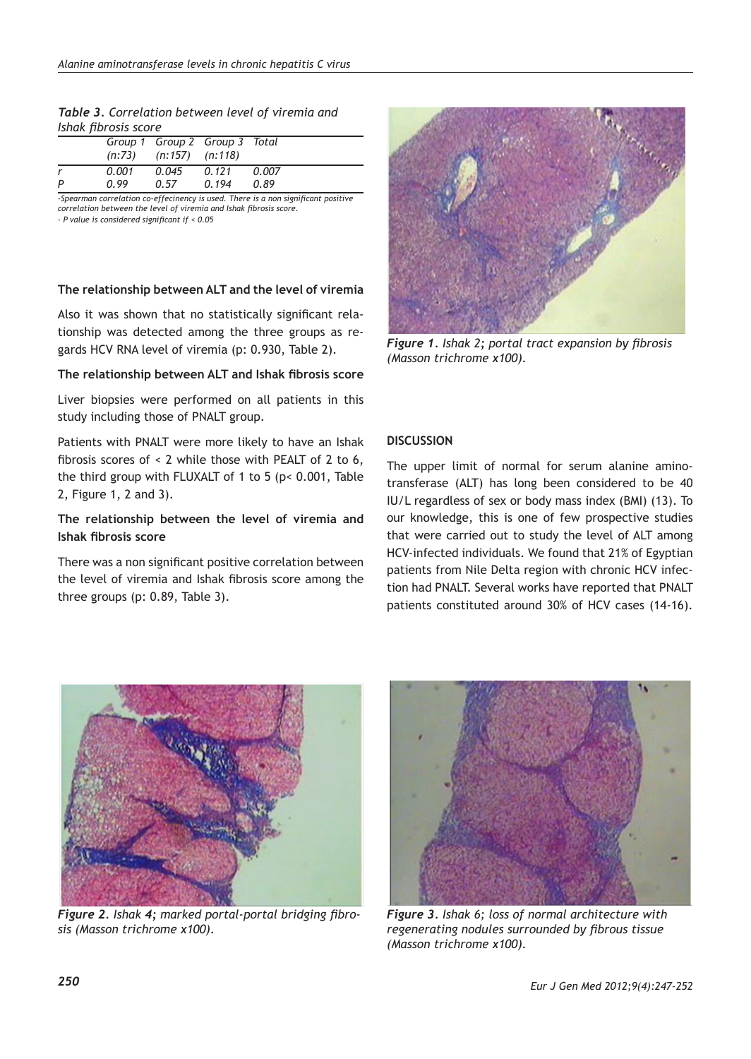| Table 3. Correlation between level of viremia and |  |  |  |
|---------------------------------------------------|--|--|--|
| Ishak fibrosis score                              |  |  |  |

|   |       | $(n:73)$ $(n:157)$ $(n:118)$ | Group 1 Group 2 Group 3 Total |       |
|---|-------|------------------------------|-------------------------------|-------|
|   | 0.001 | 0.045                        | 0.121                         | 0.007 |
| P | 0.99  | 0.57                         | 0.194                         | 0.89  |

*-Spearman correlation co-effecinency is used. There is a non significant positive correlation between the level of viremia and Ishak fibrosis score.*

*- P value is considered significant if < 0.05*

## **The relationship between ALT and the level of viremia**

Also it was shown that no statistically significant relationship was detected among the three groups as regards HCV RNA level of viremia (p: 0.930, Table 2).

## **The relationship between ALT and Ishak fibrosis score**

Liver biopsies were performed on all patients in this study including those of PNALT group.

Patients with PNALT were more likely to have an Ishak fibrosis scores of < 2 while those with PEALT of 2 to 6, the third group with FLUXALT of 1 to 5 (p< 0.001, Table 2, Figure 1, 2 and 3).

# **The relationship between the level of viremia and Ishak fibrosis score**

There was a non significant positive correlation between the level of viremia and Ishak fibrosis score among the three groups (p: 0.89, Table 3).



*Figure 1. Ishak 2; portal tract expansion by fibrosis (Masson trichrome x100).*

## **DISCUSSION**

The upper limit of normal for serum alanine aminotransferase (ALT) has long been considered to be 40 IU/L regardless of sex or body mass index (BMI) (13). To our knowledge, this is one of few prospective studies that were carried out to study the level of ALT among HCV-infected individuals. We found that 21% of Egyptian patients from Nile Delta region with chronic HCV infection had PNALT. Several works have reported that PNALT patients constituted around 30% of HCV cases (14-16).



*Figure 2. Ishak 4; marked portal-portal bridging fibrosis (Masson trichrome x100).*



*Figure 3. Ishak 6; loss of normal architecture with regenerating nodules surrounded by fibrous tissue (Masson trichrome x100).*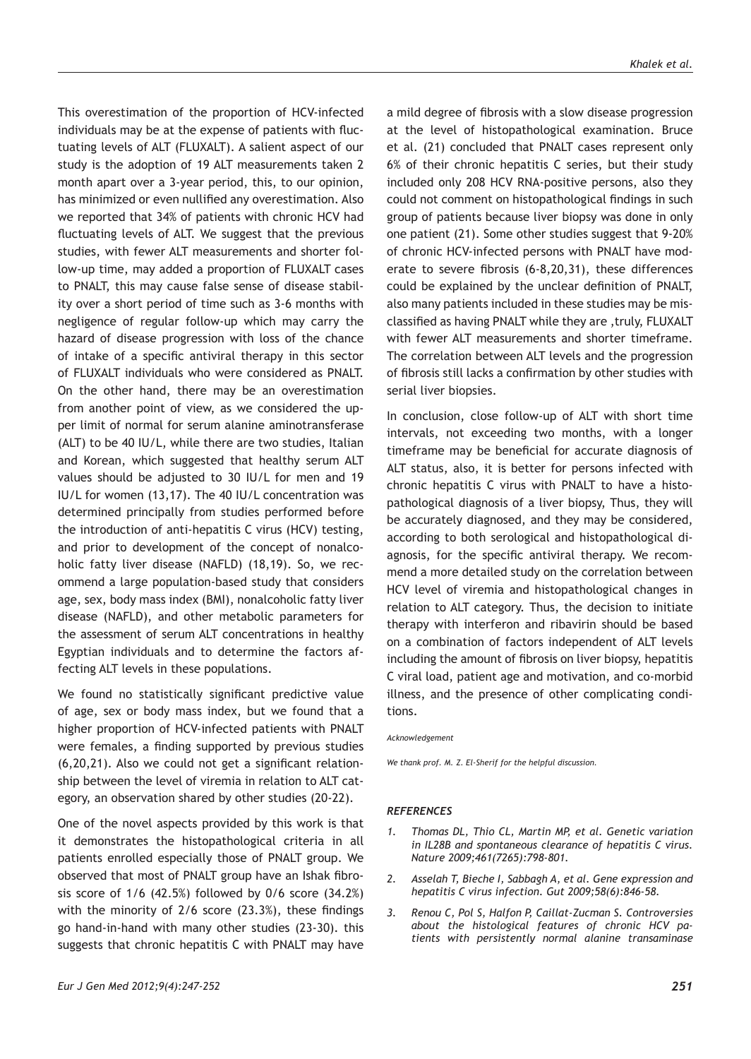This overestimation of the proportion of HCV-infected individuals may be at the expense of patients with fluctuating levels of ALT (FLUXALT). A salient aspect of our study is the adoption of 19 ALT measurements taken 2 month apart over a 3-year period, this, to our opinion, has minimized or even nullified any overestimation. Also we reported that 34% of patients with chronic HCV had fluctuating levels of ALT. We suggest that the previous studies, with fewer ALT measurements and shorter follow-up time, may added a proportion of FLUXALT cases to PNALT, this may cause false sense of disease stability over a short period of time such as 3-6 months with negligence of regular follow-up which may carry the hazard of disease progression with loss of the chance of intake of a specific antiviral therapy in this sector of FLUXALT individuals who were considered as PNALT. On the other hand, there may be an overestimation from another point of view, as we considered the upper limit of normal for serum alanine aminotransferase (ALT) to be 40 IU/L, while there are two studies, Italian and Korean, which suggested that healthy serum ALT values should be adjusted to 30 IU/L for men and 19 IU/L for women (13,17). The 40 IU/L concentration was determined principally from studies performed before the introduction of anti-hepatitis C virus (HCV) testing, and prior to development of the concept of nonalcoholic fatty liver disease (NAFLD) (18,19). So, we recommend a large population-based study that considers age, sex, body mass index (BMI), nonalcoholic fatty liver disease (NAFLD), and other metabolic parameters for the assessment of serum ALT concentrations in healthy Egyptian individuals and to determine the factors affecting ALT levels in these populations.

We found no statistically significant predictive value of age, sex or body mass index, but we found that a higher proportion of HCV-infected patients with PNALT were females, a finding supported by previous studies (6,20,21). Also we could not get a significant relationship between the level of viremia in relation to ALT category, an observation shared by other studies (20-22).

One of the novel aspects provided by this work is that it demonstrates the histopathological criteria in all patients enrolled especially those of PNALT group. We observed that most of PNALT group have an Ishak fibrosis score of 1/6 (42.5%) followed by 0/6 score (34.2%) with the minority of 2/6 score (23.3%), these findings go hand-in-hand with many other studies (23-30). this suggests that chronic hepatitis C with PNALT may have a mild degree of fibrosis with a slow disease progression at the level of histopathological examination. Bruce et al. (21) concluded that PNALT cases represent only 6% of their chronic hepatitis C series, but their study included only 208 HCV RNA-positive persons, also they could not comment on histopathological findings in such group of patients because liver biopsy was done in only one patient (21). Some other studies suggest that 9-20% of chronic HCV-infected persons with PNALT have moderate to severe fibrosis (6-8,20,31), these differences could be explained by the unclear definition of PNALT, also many patients included in these studies may be misclassified as having PNALT while they are ,truly, FLUXALT with fewer ALT measurements and shorter timeframe. The correlation between ALT levels and the progression of fibrosis still lacks a confirmation by other studies with serial liver biopsies.

In conclusion, close follow-up of ALT with short time intervals, not exceeding two months, with a longer timeframe may be beneficial for accurate diagnosis of ALT status, also, it is better for persons infected with chronic hepatitis C virus with PNALT to have a histopathological diagnosis of a liver biopsy, Thus, they will be accurately diagnosed, and they may be considered, according to both serological and histopathological diagnosis, for the specific antiviral therapy. We recommend a more detailed study on the correlation between HCV level of viremia and histopathological changes in relation to ALT category. Thus, the decision to initiate therapy with interferon and ribavirin should be based on a combination of factors independent of ALT levels including the amount of fibrosis on liver biopsy, hepatitis C viral load, patient age and motivation, and co-morbid illness, and the presence of other complicating conditions.

#### *Acknowledgement*

*We thank prof. M. Z. El-Sherif for the helpful discussion.*

#### *REFERENCES*

- *1. Thomas DL, Thio CL, Martin MP, et al. Genetic variation in IL28B and spontaneous clearance of hepatitis C virus. Nature 2009;461(7265):798-801.*
- *2. Asselah T, Bieche I, Sabbagh A, et al. Gene expression and hepatitis C virus infection. Gut 2009;58(6):846-58.*
- *3. Renou C, Pol S, Halfon P, Caillat-Zucman S. Controversies about the histological features of chronic HCV patients with persistently normal alanine transaminase*